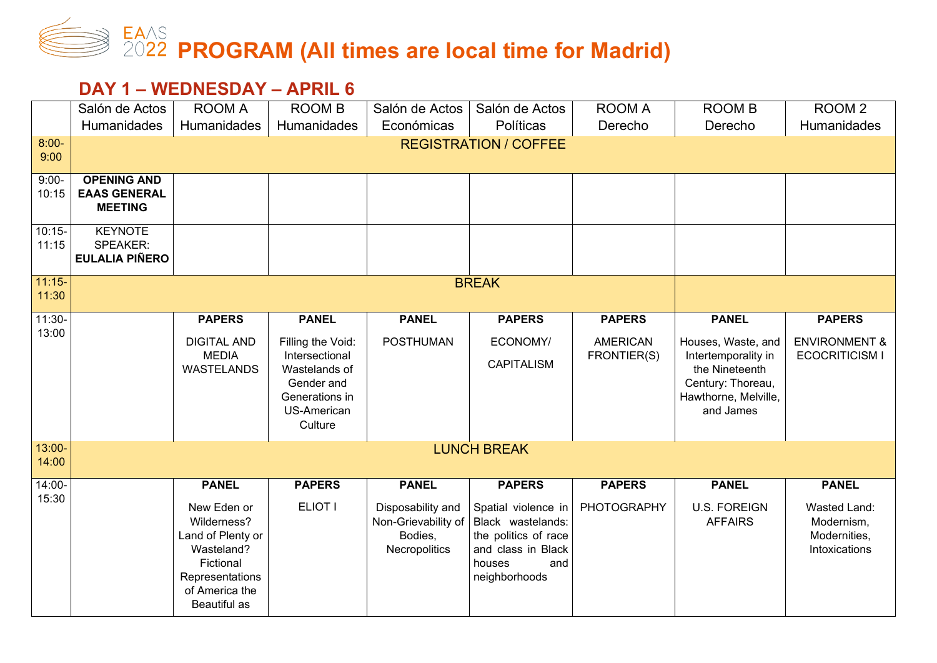## **PROGRAM (All times are local time for Madrid)**

## **DAY 1 – WEDNESDAY – APRIL 6**

|                    | Salón de Actos                                              | <b>ROOM A</b>                                                                                                                   | <b>ROOM B</b>                                                                                                         | Salón de Actos                                                       | Salón de Actos                                                                                                           | <b>ROOM A</b>                  | <b>ROOM B</b>                                                                                                         | ROOM <sub>2</sub>                                           |  |  |  |
|--------------------|-------------------------------------------------------------|---------------------------------------------------------------------------------------------------------------------------------|-----------------------------------------------------------------------------------------------------------------------|----------------------------------------------------------------------|--------------------------------------------------------------------------------------------------------------------------|--------------------------------|-----------------------------------------------------------------------------------------------------------------------|-------------------------------------------------------------|--|--|--|
|                    | Humanidades                                                 | Humanidades                                                                                                                     | Humanidades                                                                                                           | Económicas                                                           | Políticas                                                                                                                | Derecho                        | Derecho                                                                                                               | <b>Humanidades</b>                                          |  |  |  |
| $8:00-$<br>9:00    |                                                             | <b>REGISTRATION / COFFEE</b>                                                                                                    |                                                                                                                       |                                                                      |                                                                                                                          |                                |                                                                                                                       |                                                             |  |  |  |
| $9:00-$<br>10:15   | <b>OPENING AND</b><br><b>EAAS GENERAL</b><br><b>MEETING</b> |                                                                                                                                 |                                                                                                                       |                                                                      |                                                                                                                          |                                |                                                                                                                       |                                                             |  |  |  |
| $10:15 -$<br>11:15 | <b>KEYNOTE</b><br>SPEAKER:<br><b>EULALIA PIÑERO</b>         |                                                                                                                                 |                                                                                                                       |                                                                      |                                                                                                                          |                                |                                                                                                                       |                                                             |  |  |  |
| $11:15-$<br>11:30  |                                                             |                                                                                                                                 |                                                                                                                       |                                                                      | <b>BREAK</b>                                                                                                             |                                |                                                                                                                       |                                                             |  |  |  |
| $11:30-$           |                                                             | <b>PAPERS</b>                                                                                                                   | <b>PANEL</b>                                                                                                          | <b>PANEL</b>                                                         | <b>PAPERS</b>                                                                                                            | <b>PAPERS</b>                  | <b>PANEL</b>                                                                                                          | <b>PAPERS</b>                                               |  |  |  |
| 13:00              |                                                             | <b>DIGITAL AND</b><br><b>MEDIA</b><br><b>WASTELANDS</b>                                                                         | Filling the Void:<br>Intersectional<br>Wastelands of<br>Gender and<br>Generations in<br><b>US-American</b><br>Culture | <b>POSTHUMAN</b>                                                     | ECONOMY/<br><b>CAPITALISM</b>                                                                                            | <b>AMERICAN</b><br>FRONTIER(S) | Houses, Waste, and<br>Intertemporality in<br>the Nineteenth<br>Century: Thoreau,<br>Hawthorne, Melville,<br>and James | <b>ENVIRONMENT &amp;</b><br><b>ECOCRITICISM I</b>           |  |  |  |
| 13:00-<br>14:00    |                                                             |                                                                                                                                 |                                                                                                                       |                                                                      | <b>LUNCH BREAK</b>                                                                                                       |                                |                                                                                                                       |                                                             |  |  |  |
| $14:00 -$<br>15:30 |                                                             | <b>PANEL</b>                                                                                                                    | <b>PAPERS</b>                                                                                                         | <b>PANEL</b>                                                         | <b>PAPERS</b>                                                                                                            | <b>PAPERS</b>                  | <b>PANEL</b>                                                                                                          | <b>PANEL</b>                                                |  |  |  |
|                    |                                                             | New Eden or<br>Wilderness?<br>Land of Plenty or<br>Wasteland?<br>Fictional<br>Representations<br>of America the<br>Beautiful as | ELIOT I                                                                                                               | Disposability and<br>Non-Grievability of<br>Bodies,<br>Necropolitics | Spatial violence in<br>Black wastelands:<br>the politics of race<br>and class in Black<br>houses<br>and<br>neighborhoods | <b>PHOTOGRAPHY</b>             | <b>U.S. FOREIGN</b><br><b>AFFAIRS</b>                                                                                 | Wasted Land:<br>Modernism,<br>Modernities,<br>Intoxications |  |  |  |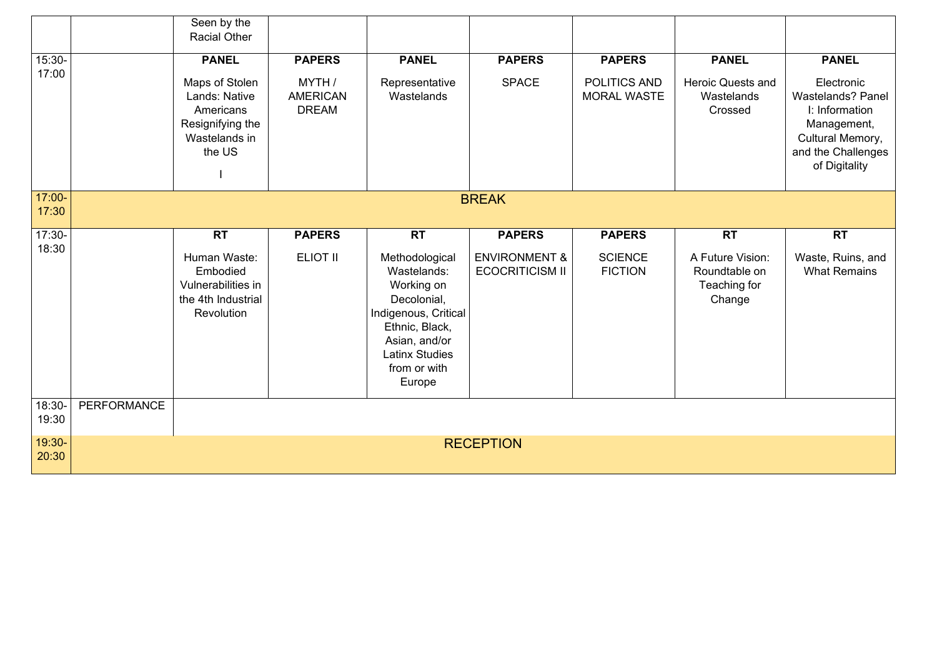|                   |             | Seen by the<br><b>Racial Other</b>                                                                          |                                                            |                                                                                                                                                                                       |                                                                     |                                                     |                                                                          |                                                                                                                                             |
|-------------------|-------------|-------------------------------------------------------------------------------------------------------------|------------------------------------------------------------|---------------------------------------------------------------------------------------------------------------------------------------------------------------------------------------|---------------------------------------------------------------------|-----------------------------------------------------|--------------------------------------------------------------------------|---------------------------------------------------------------------------------------------------------------------------------------------|
| 15:30-<br>17:00   |             | <b>PANEL</b><br>Maps of Stolen<br>Lands: Native<br>Americans<br>Resignifying the<br>Wastelands in<br>the US | <b>PAPERS</b><br>MYTH /<br><b>AMERICAN</b><br><b>DREAM</b> | <b>PANEL</b><br>Representative<br>Wastelands                                                                                                                                          | <b>PAPERS</b><br><b>SPACE</b>                                       | <b>PAPERS</b><br>POLITICS AND<br><b>MORAL WASTE</b> | <b>PANEL</b><br><b>Heroic Quests and</b><br>Wastelands<br>Crossed        | <b>PANEL</b><br>Electronic<br>Wastelands? Panel<br>I: Information<br>Management,<br>Cultural Memory,<br>and the Challenges<br>of Digitality |
| 17:00-<br>17:30   |             |                                                                                                             |                                                            |                                                                                                                                                                                       | <b>BREAK</b>                                                        |                                                     |                                                                          |                                                                                                                                             |
| $17:30-$<br>18:30 |             | <b>RT</b><br>Human Waste:<br>Embodied<br>Vulnerabilities in<br>the 4th Industrial<br>Revolution             | <b>PAPERS</b><br><b>ELIOT II</b>                           | <b>RT</b><br>Methodological<br>Wastelands:<br>Working on<br>Decolonial,<br>Indigenous, Critical<br>Ethnic, Black,<br>Asian, and/or<br><b>Latinx Studies</b><br>from or with<br>Europe | <b>PAPERS</b><br><b>ENVIRONMENT &amp;</b><br><b>ECOCRITICISM II</b> | <b>PAPERS</b><br><b>SCIENCE</b><br><b>FICTION</b>   | <b>RT</b><br>A Future Vision:<br>Roundtable on<br>Teaching for<br>Change | <b>RT</b><br>Waste, Ruins, and<br><b>What Remains</b>                                                                                       |
| 18:30-<br>19:30   | PERFORMANCE |                                                                                                             |                                                            |                                                                                                                                                                                       |                                                                     |                                                     |                                                                          |                                                                                                                                             |
| 19:30-<br>20:30   |             |                                                                                                             |                                                            |                                                                                                                                                                                       | <b>RECEPTION</b>                                                    |                                                     |                                                                          |                                                                                                                                             |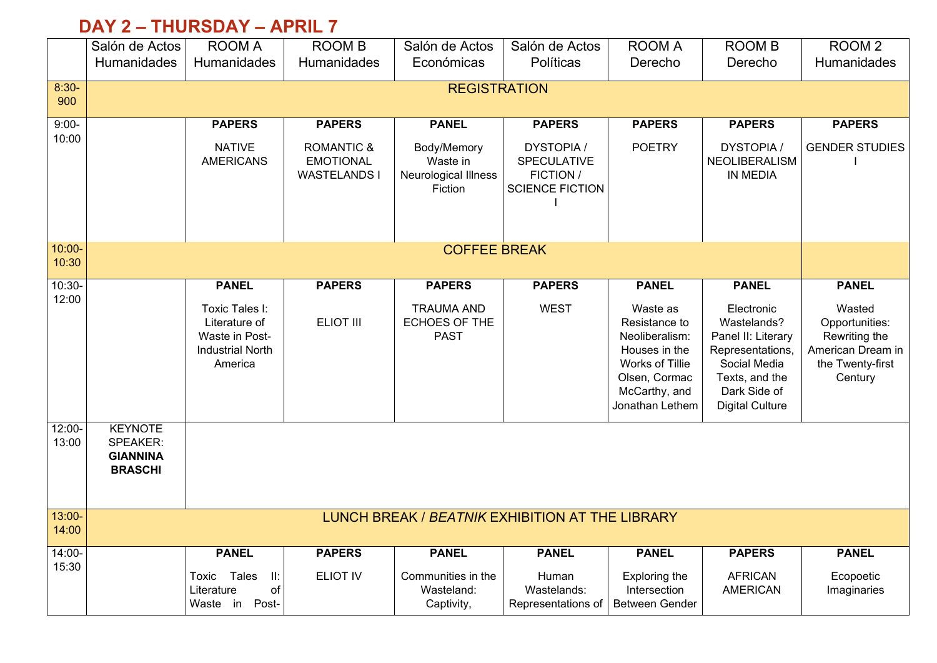## **DAY 2 – THURSDAY – APRIL 7**

|                    | Salón de Actos                                                  | <b>ROOM A</b>                                                                           | <b>ROOM B</b>                                                    | Salón de Actos                                             | Salón de Actos                                                          | <b>ROOM A</b>                                                                                                                        | <b>ROOM B</b>                                                                                                                                   | ROOM <sub>2</sub>                                                                             |
|--------------------|-----------------------------------------------------------------|-----------------------------------------------------------------------------------------|------------------------------------------------------------------|------------------------------------------------------------|-------------------------------------------------------------------------|--------------------------------------------------------------------------------------------------------------------------------------|-------------------------------------------------------------------------------------------------------------------------------------------------|-----------------------------------------------------------------------------------------------|
|                    | Humanidades                                                     | Humanidades                                                                             | Humanidades                                                      | Económicas                                                 | Políticas                                                               | Derecho                                                                                                                              | Derecho                                                                                                                                         | Humanidades                                                                                   |
| $8:30-$            |                                                                 |                                                                                         |                                                                  | <b>REGISTRATION</b>                                        |                                                                         |                                                                                                                                      |                                                                                                                                                 |                                                                                               |
| 900                |                                                                 |                                                                                         |                                                                  |                                                            |                                                                         |                                                                                                                                      |                                                                                                                                                 |                                                                                               |
| $9:00-$            |                                                                 | <b>PAPERS</b>                                                                           | <b>PAPERS</b>                                                    | <b>PANEL</b>                                               | <b>PAPERS</b>                                                           | <b>PAPERS</b>                                                                                                                        | <b>PAPERS</b>                                                                                                                                   | <b>PAPERS</b>                                                                                 |
| 10:00              |                                                                 | <b>NATIVE</b><br><b>AMERICANS</b>                                                       | <b>ROMANTIC &amp;</b><br><b>EMOTIONAL</b><br><b>WASTELANDS I</b> | Body/Memory<br>Waste in<br>Neurological Illness<br>Fiction | <b>DYSTOPIA /</b><br>SPECULATIVE<br>FICTION /<br><b>SCIENCE FICTION</b> | <b>POETRY</b>                                                                                                                        | <b>DYSTOPIA/</b><br>NEOLIBERALISM<br><b>IN MEDIA</b>                                                                                            | <b>GENDER STUDIES</b>                                                                         |
|                    |                                                                 |                                                                                         |                                                                  |                                                            |                                                                         |                                                                                                                                      |                                                                                                                                                 |                                                                                               |
| 10:00-             |                                                                 |                                                                                         |                                                                  | <b>COFFEE BREAK</b>                                        |                                                                         |                                                                                                                                      |                                                                                                                                                 |                                                                                               |
| 10:30              |                                                                 |                                                                                         |                                                                  |                                                            |                                                                         |                                                                                                                                      |                                                                                                                                                 |                                                                                               |
| $10:30-$<br>12:00  |                                                                 | <b>PANEL</b>                                                                            | <b>PAPERS</b>                                                    | <b>PAPERS</b>                                              | <b>PAPERS</b>                                                           | <b>PANEL</b>                                                                                                                         | <b>PANEL</b>                                                                                                                                    | <b>PANEL</b>                                                                                  |
|                    |                                                                 | Toxic Tales I:<br>Literature of<br>Waste in Post-<br><b>Industrial North</b><br>America | <b>ELIOT III</b>                                                 | <b>TRAUMA AND</b><br><b>ECHOES OF THE</b><br><b>PAST</b>   | <b>WEST</b>                                                             | Waste as<br>Resistance to<br>Neoliberalism:<br>Houses in the<br>Works of Tillie<br>Olsen, Cormac<br>McCarthy, and<br>Jonathan Lethem | Electronic<br>Wastelands?<br>Panel II: Literary<br>Representations,<br>Social Media<br>Texts, and the<br>Dark Side of<br><b>Digital Culture</b> | Wasted<br>Opportunities:<br>Rewriting the<br>American Dream in<br>the Twenty-first<br>Century |
| $12:00 -$<br>13:00 | <b>KEYNOTE</b><br>SPEAKER:<br><b>GIANNINA</b><br><b>BRASCHI</b> |                                                                                         |                                                                  |                                                            |                                                                         |                                                                                                                                      |                                                                                                                                                 |                                                                                               |
| $13:00 -$<br>14:00 |                                                                 |                                                                                         |                                                                  | LUNCH BREAK / BEATNIK EXHIBITION AT THE LIBRARY            |                                                                         |                                                                                                                                      |                                                                                                                                                 |                                                                                               |
| 14:00-             |                                                                 | <b>PANEL</b>                                                                            | <b>PAPERS</b>                                                    | <b>PANEL</b>                                               | <b>PANEL</b>                                                            | <b>PANEL</b>                                                                                                                         | <b>PAPERS</b>                                                                                                                                   | <b>PANEL</b>                                                                                  |
| 15:30              |                                                                 | Toxic Tales<br>$\mathbf{II}$ :<br>of<br>Literature<br>Waste in Post-                    | <b>ELIOT IV</b>                                                  | Communities in the<br>Wasteland:<br>Captivity,             | Human<br>Wastelands:<br>Representations of                              | Exploring the<br>Intersection<br><b>Between Gender</b>                                                                               | <b>AFRICAN</b><br><b>AMERICAN</b>                                                                                                               | Ecopoetic<br>Imaginaries                                                                      |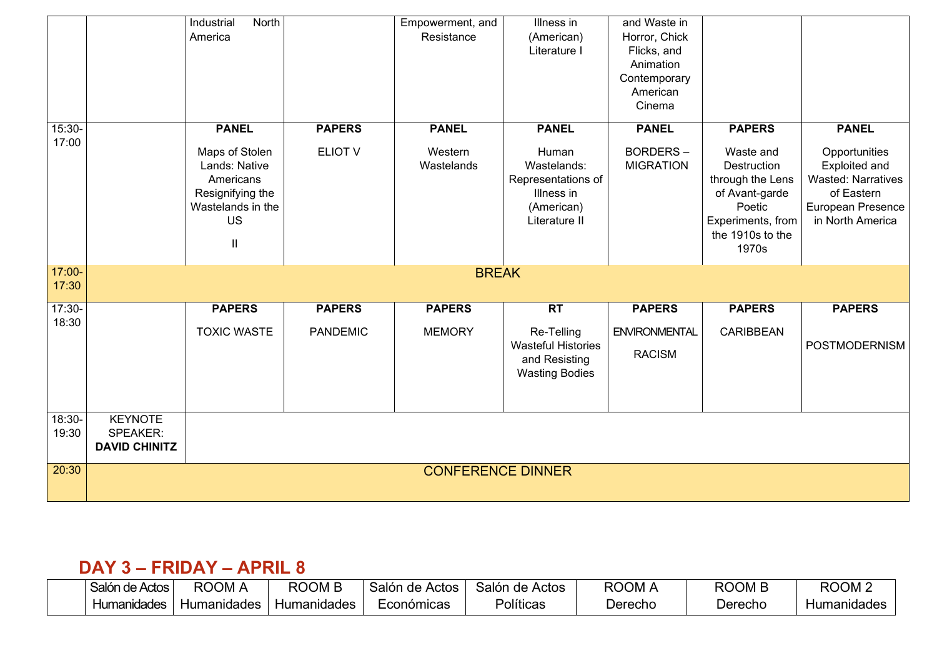|                   |                      | North<br>Industrial |                 | Empowerment, and         | Illness in                | and Waste in         |                   |                           |
|-------------------|----------------------|---------------------|-----------------|--------------------------|---------------------------|----------------------|-------------------|---------------------------|
|                   |                      | America             |                 | Resistance               | (American)                | Horror, Chick        |                   |                           |
|                   |                      |                     |                 |                          | Literature I              | Flicks, and          |                   |                           |
|                   |                      |                     |                 |                          |                           | Animation            |                   |                           |
|                   |                      |                     |                 |                          |                           | Contemporary         |                   |                           |
|                   |                      |                     |                 |                          |                           | American             |                   |                           |
|                   |                      |                     |                 |                          |                           | Cinema               |                   |                           |
| $15:30-$<br>17:00 |                      | <b>PANEL</b>        | <b>PAPERS</b>   | <b>PANEL</b>             | <b>PANEL</b>              | <b>PANEL</b>         | <b>PAPERS</b>     | <b>PANEL</b>              |
|                   |                      | Maps of Stolen      | ELIOT V         | Western                  | Human                     | <b>BORDERS-</b>      | Waste and         | Opportunities             |
|                   |                      | Lands: Native       |                 | Wastelands               | Wastelands:               | <b>MIGRATION</b>     | Destruction       | Exploited and             |
|                   |                      | Americans           |                 |                          | Representations of        |                      | through the Lens  | <b>Wasted: Narratives</b> |
|                   |                      | Resignifying the    |                 |                          | Illness in                |                      | of Avant-garde    | of Eastern                |
|                   |                      | Wastelands in the   |                 |                          | (American)                |                      | Poetic            | European Presence         |
|                   |                      | <b>US</b>           |                 |                          | Literature II             |                      | Experiments, from | in North America          |
|                   |                      | $\mathbf{II}$       |                 |                          |                           |                      | the 1910s to the  |                           |
|                   |                      |                     |                 |                          |                           |                      | 1970s             |                           |
| 17:00-            |                      |                     |                 | <b>BREAK</b>             |                           |                      |                   |                           |
| 17:30             |                      |                     |                 |                          |                           |                      |                   |                           |
| $17:30-$          |                      | <b>PAPERS</b>       | <b>PAPERS</b>   | <b>PAPERS</b>            | <b>RT</b>                 | <b>PAPERS</b>        | <b>PAPERS</b>     | <b>PAPERS</b>             |
| 18:30             |                      | <b>TOXIC WASTE</b>  | <b>PANDEMIC</b> | <b>MEMORY</b>            | Re-Telling                | <b>ENVIRONMENTAL</b> | <b>CARIBBEAN</b>  |                           |
|                   |                      |                     |                 |                          | <b>Wasteful Histories</b> | <b>RACISM</b>        |                   | <b>POSTMODERNISM</b>      |
|                   |                      |                     |                 |                          | and Resisting             |                      |                   |                           |
|                   |                      |                     |                 |                          | <b>Wasting Bodies</b>     |                      |                   |                           |
|                   |                      |                     |                 |                          |                           |                      |                   |                           |
| 18:30-            | <b>KEYNOTE</b>       |                     |                 |                          |                           |                      |                   |                           |
| 19:30             | <b>SPEAKER:</b>      |                     |                 |                          |                           |                      |                   |                           |
|                   | <b>DAVID CHINITZ</b> |                     |                 |                          |                           |                      |                   |                           |
|                   |                      |                     |                 |                          |                           |                      |                   |                           |
| 20:30             |                      |                     |                 | <b>CONFERENCE DINNER</b> |                           |                      |                   |                           |
|                   |                      |                     |                 |                          |                           |                      |                   |                           |

## **DAY 3 – FRIDAY – APRIL 8**

| Salón de Actos | <b>ROOM</b> | <b>ROOM B</b>      | Salón de<br>Actos | ı de Actos<br>Salón | ROOM    | ROOM B  | ROOM <sub>2</sub> |
|----------------|-------------|--------------------|-------------------|---------------------|---------|---------|-------------------|
| Humanidades    | Humanidades | <b>Humanidades</b> | Económicas        | Políticas           | Jerecho | ⊃erecho | Humanidades       |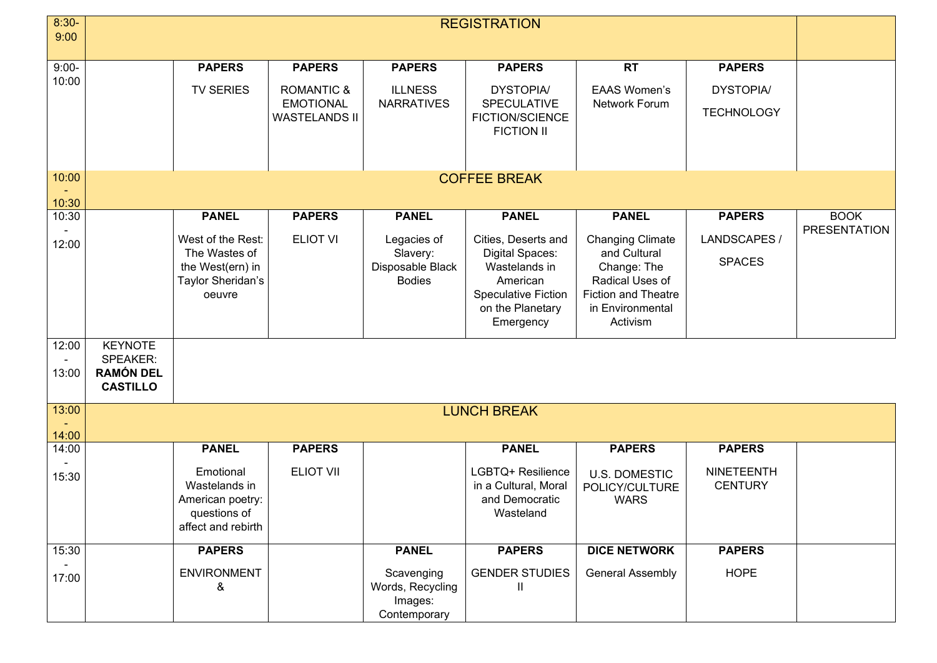| $8:30-$ | <b>REGISTRATION</b>                 |                                    |                                          |                                |                                                |                                                |                                     |                     |
|---------|-------------------------------------|------------------------------------|------------------------------------------|--------------------------------|------------------------------------------------|------------------------------------------------|-------------------------------------|---------------------|
| 9:00    |                                     |                                    |                                          |                                |                                                |                                                |                                     |                     |
| $9:00-$ |                                     | <b>PAPERS</b>                      | <b>PAPERS</b>                            | <b>PAPERS</b>                  | <b>PAPERS</b>                                  | <b>RT</b>                                      | <b>PAPERS</b>                       |                     |
| 10:00   |                                     | <b>TV SERIES</b>                   | <b>ROMANTIC &amp;</b>                    | <b>ILLNESS</b>                 | <b>DYSTOPIA/</b>                               | <b>EAAS Women's</b>                            | <b>DYSTOPIA/</b>                    |                     |
|         |                                     |                                    | <b>EMOTIONAL</b><br><b>WASTELANDS II</b> | <b>NARRATIVES</b>              | <b>SPECULATIVE</b><br>FICTION/SCIENCE          | Network Forum                                  | <b>TECHNOLOGY</b>                   |                     |
|         |                                     |                                    |                                          |                                | <b>FICTION II</b>                              |                                                |                                     |                     |
|         |                                     |                                    |                                          |                                |                                                |                                                |                                     |                     |
| 10:00   |                                     |                                    |                                          |                                | <b>COFFEE BREAK</b>                            |                                                |                                     |                     |
| 10:30   |                                     |                                    |                                          |                                |                                                |                                                |                                     |                     |
| 10:30   |                                     | <b>PANEL</b>                       | <b>PAPERS</b>                            | <b>PANEL</b>                   | <b>PANEL</b>                                   | <b>PANEL</b>                                   | <b>PAPERS</b>                       | <b>BOOK</b>         |
| 12:00   |                                     | West of the Rest:                  | <b>ELIOT VI</b>                          | Legacies of                    | Cities, Deserts and                            | <b>Changing Climate</b>                        | LANDSCAPES /                        | <b>PRESENTATION</b> |
|         |                                     | The Wastes of<br>the West(ern) in  |                                          | Slavery:<br>Disposable Black   | Digital Spaces:<br>Wastelands in               | and Cultural<br>Change: The                    | <b>SPACES</b>                       |                     |
|         |                                     | Taylor Sheridan's                  |                                          | <b>Bodies</b>                  | American                                       | Radical Uses of                                |                                     |                     |
|         |                                     | oeuvre                             |                                          |                                | <b>Speculative Fiction</b><br>on the Planetary | <b>Fiction and Theatre</b><br>in Environmental |                                     |                     |
|         |                                     |                                    |                                          |                                | Emergency                                      | Activism                                       |                                     |                     |
| 12:00   | <b>KEYNOTE</b>                      |                                    |                                          |                                |                                                |                                                |                                     |                     |
| 13:00   | <b>SPEAKER:</b><br><b>RAMÓN DEL</b> |                                    |                                          |                                |                                                |                                                |                                     |                     |
|         | <b>CASTILLO</b>                     |                                    |                                          |                                |                                                |                                                |                                     |                     |
| 13:00   |                                     |                                    |                                          |                                | <b>LUNCH BREAK</b>                             |                                                |                                     |                     |
| 14:00   |                                     |                                    |                                          |                                |                                                |                                                |                                     |                     |
| 14:00   |                                     | <b>PANEL</b>                       | <b>PAPERS</b>                            |                                | <b>PANEL</b>                                   | <b>PAPERS</b>                                  | <b>PAPERS</b>                       |                     |
| 15:30   |                                     | Emotional<br>Wastelands in         | <b>ELIOT VII</b>                         |                                | LGBTQ+ Resilience<br>in a Cultural, Moral      | <b>U.S. DOMESTIC</b><br>POLICY/CULTURE         | <b>NINETEENTH</b><br><b>CENTURY</b> |                     |
|         |                                     | American poetry:                   |                                          |                                | and Democratic                                 | <b>WARS</b>                                    |                                     |                     |
|         |                                     | questions of<br>affect and rebirth |                                          |                                | Wasteland                                      |                                                |                                     |                     |
| 15:30   |                                     | <b>PAPERS</b>                      |                                          | <b>PANEL</b>                   | <b>PAPERS</b>                                  | <b>DICE NETWORK</b>                            | <b>PAPERS</b>                       |                     |
|         |                                     |                                    |                                          |                                |                                                |                                                |                                     |                     |
| 17:00   |                                     | <b>ENVIRONMENT</b><br>&            |                                          | Scavenging<br>Words, Recycling | <b>GENDER STUDIES</b><br>Ш                     | <b>General Assembly</b>                        | <b>HOPE</b>                         |                     |
|         |                                     |                                    |                                          | Images:<br>Contemporary        |                                                |                                                |                                     |                     |